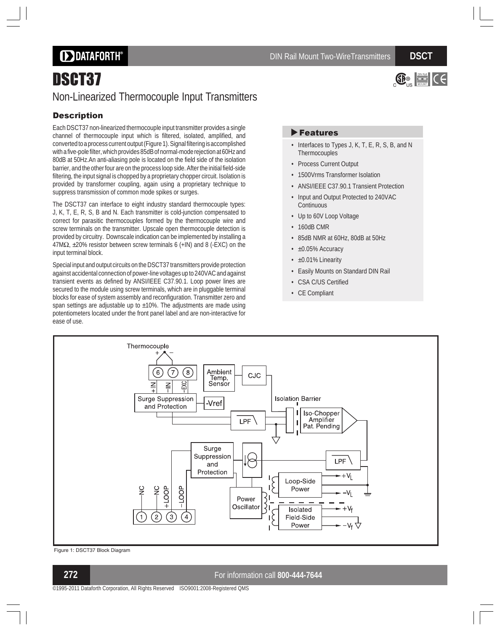# **DDATAFORTH®**

# DSCT37 Non-Linearized Thermocouple Input Transmitters

### **Description**

Each DSCT37 non-linearized thermocouple input transmitter provides a single channel of thermocouple input which is filtered, isolated, amplified, and converted to a process current output (Figure 1). Signal filtering is accomplished with a five-pole filter, which provides 85dB of normal-mode rejection at 60Hz and 80dB at 50Hz.An anti-aliasing pole is located on the field side of the isolation barrier, and the other four are on the process loop side. After the initial field-side filtering, the input signal is chopped by a proprietary chopper circuit. Isolation is provided by transformer coupling, again using a proprietary technique to suppress transmission of common mode spikes or surges.

The DSCT37 can interface to eight industry standard thermocouple types: J, K, T, E, R, S, B and N. Each transmitter is cold-junction compensated to correct for parasitic thermocouples formed by the thermocouple wire and screw terminals on the transmitter. Upscale open thermocouple detection is provided by circuitry. Downscale indication can be implemented by installing a  $47M\Omega$ , ±20% resistor between screw terminals 6 (+IN) and 8 (-EXC) on the input terminal block.

Special input and output circuits on the DSCT37 transmitters provide protection against accidental connection of power-line voltages up to 240VAC and against transient events as defined by ANSI/IEEE C37.90.1. Loop power lines are secured to the module using screw terminals, which are in pluggable terminal blocks for ease of system assembly and reconfiguration. Transmitter zero and span settings are adjustable up to  $\pm 10$ %. The adjustments are made using potentiometers located under the front panel label and are non-interactive for ease of use.

# $\bigoplus_{\alpha \in \mathbb{N}} \frac{1}{\alpha}$   $\bigcap_{\alpha \in \mathbb{N}} C$

### Features

- Interfaces to Types J, K, T, E, R, S, B, and N Thermocouples
- Process Current Output
- 1500Vrms Transformer Isolation
- ANSI/IEEE C37.90.1 Transient Protection
- Input and Output Protected to 240VAC **Continuous**
- Up to 60V Loop Voltage
- 160dB CMR
- 85dB NMR at 60Hz, 80dB at 50Hz
- ±0.05% Accuracy
- ±0.01% Linearity
- Easily Mounts on Standard DIN Rail
- CSA C/US Certified
- CE Compliant



Figure 1: DSCT37 Block Diagram

### **272** For information call **800-444-7644**

©1995-2011 Dataforth Corporation, All Rights Reserved ISO9001:2008-Registered QMS